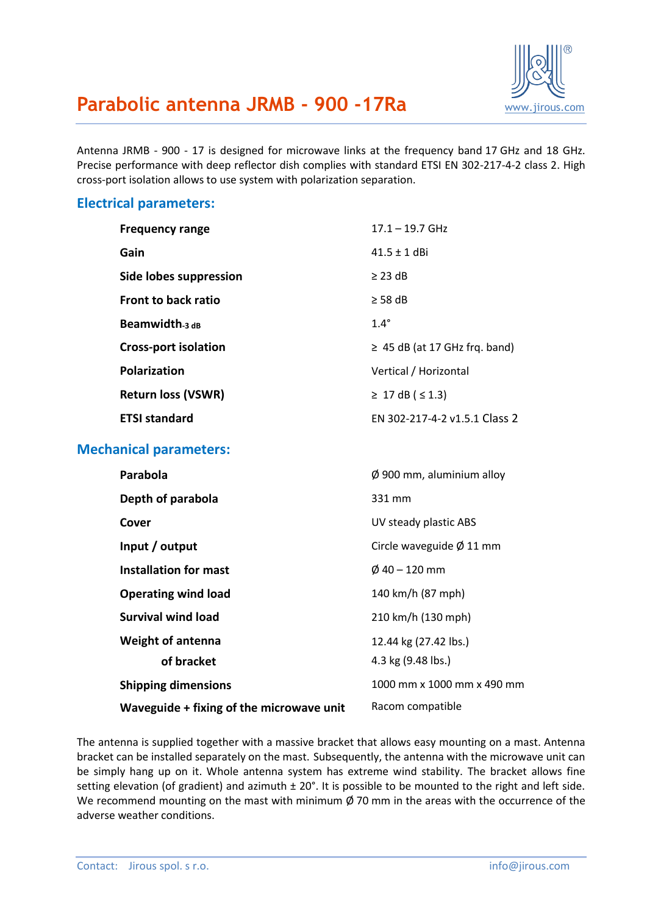

# **Parabolic antenna JRMB - 900 -17Ra** WWW.jirous.com

Antenna JRMB - 900 - 17 is designed for microwave links at the frequency band 17 GHz and 18 GHz. Precise performance with deep reflector dish complies with standard ETSI EN 302-217-4-2 class 2. High cross-port isolation allows to use system with polarization separation.

#### **Electrical parameters:**

| <b>Frequency range</b>      | $17.1 - 19.7$ GHz                  |
|-----------------------------|------------------------------------|
| Gain                        | $41.5 + 1$ dBi                     |
| Side lobes suppression      | $\geq$ 23 dB                       |
| <b>Front to back ratio</b>  | $\geq$ 58 dB                       |
| Beamwidth $_3$ dB           | $1.4^\circ$                        |
| <b>Cross-port isolation</b> | $\geq$ 45 dB (at 17 GHz frg. band) |
| <b>Polarization</b>         | Vertical / Horizontal              |
| <b>Return loss (VSWR)</b>   | ≥ 17 dB (≤ 1.3)                    |
| <b>ETSI standard</b>        | EN 302-217-4-2 v1.5.1 Class 2      |

### **Mechanical parameters:**

| Parabola                                 | $\varnothing$ 900 mm, aluminium alloy |
|------------------------------------------|---------------------------------------|
| Depth of parabola                        | 331 mm                                |
| Cover                                    | UV steady plastic ABS                 |
| Input / output                           | Circle waveguide $\varnothing$ 11 mm  |
| <b>Installation for mast</b>             | $\emptyset$ 40 – 120 mm               |
| <b>Operating wind load</b>               | 140 km/h (87 mph)                     |
| Survival wind load                       | 210 km/h (130 mph)                    |
| <b>Weight of antenna</b>                 | 12.44 kg (27.42 lbs.)                 |
| of bracket                               | 4.3 kg (9.48 lbs.)                    |
| <b>Shipping dimensions</b>               | 1000 mm x 1000 mm x 490 mm            |
| Waveguide + fixing of the microwave unit | Racom compatible                      |

The antenna is supplied together with a massive bracket that allows easy mounting on a mast. Antenna bracket can be installed separately on the mast. Subsequently, the antenna with the microwave unit can be simply hang up on it. Whole antenna system has extreme wind stability. The bracket allows fine setting elevation (of gradient) and azimuth  $\pm 20^\circ$ . It is possible to be mounted to the right and left side. We recommend mounting on the mast with minimum  $\emptyset$  70 mm in the areas with the occurrence of the adverse weather conditions.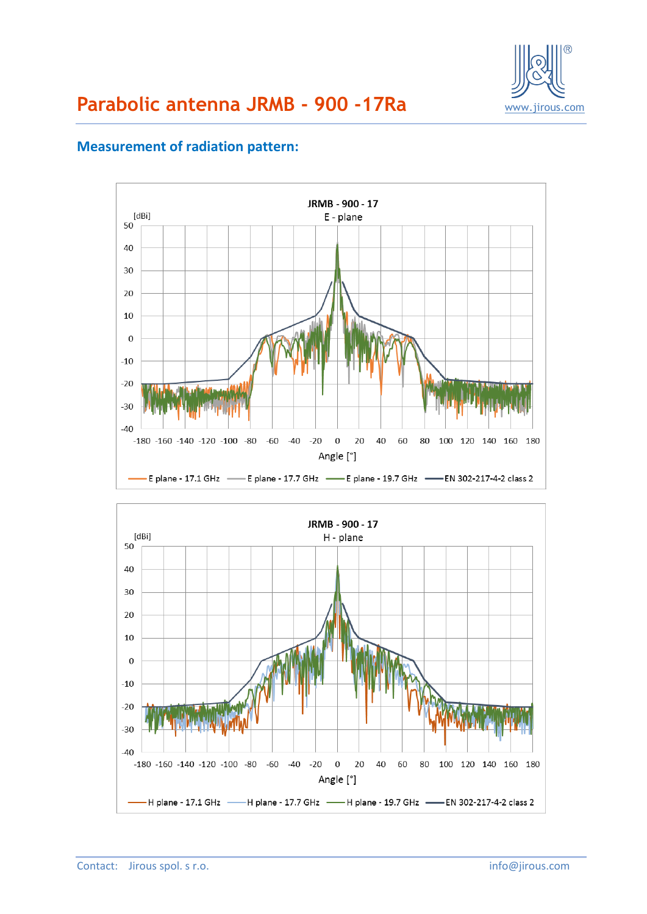

## **Measurement of radiation pattern:**